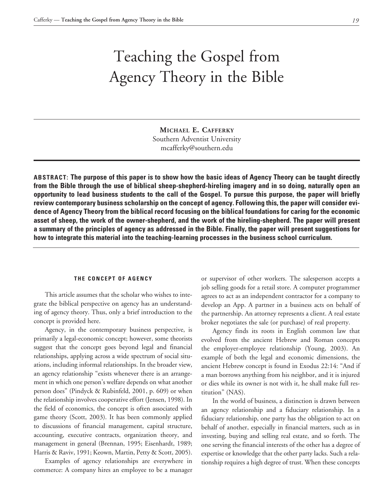# Teaching the Gospel from Agency Theory in the Bible

**Michael E. Cafferky** Southern Adventist University mcafferky@southern.edu

**ABSTRACT: The purpose of this paper is to show how the basic ideas of Agency Theory can be taught directly from the Bible through the use of biblical sheep-shepherd-hireling imagery and in so doing, naturally open an opportunity to lead business students to the call of the Gospel. To pursue this purpose, the paper will briefly review contemporary business scholarship on the concept of agency. Following this, the paper will consider evidence of Agency Theory from the biblical record focusing on the biblical foundations for caring for the economic asset of sheep, the work of the owner-shepherd, and the work of the hireling-shepherd. The paper will present a summary of the principles of agency as addressed in the Bible. Finally, the paper will present suggestions for how to integrate this material into the teaching-learning processes in the business school curriculum.**

#### **THE CONCEPT OF AGENCY**

This article assumes that the scholar who wishes to integrate the biblical perspective on agency has an understanding of agency theory. Thus, only a brief introduction to the concept is provided here.

Agency, in the contemporary business perspective, is primarily a legal-economic concept; however, some theorists suggest that the concept goes beyond legal and financial relationships, applying across a wide spectrum of social situations, including informal relationships. In the broader view, an agency relationship "exists whenever there is an arrangement in which one person's welfare depends on what another person does" (Pindyck & Rubinfeld, 2001, p. 609) or when the relationship involves cooperative effort (Jensen, 1998). In the field of economics, the concept is often associated with game theory (Scott, 2003). It has been commonly applied to discussions of financial management, capital structure, accounting, executive contracts, organization theory, and management in general (Brennan, 1995; Eisenhardt, 1989; Harris & Raviv, 1991; Keown, Martin, Petty & Scott, 2005).

Examples of agency relationships are everywhere in commerce: A company hires an employee to be a manager or supervisor of other workers. The salesperson accepts a job selling goods for a retail store. A computer programmer agrees to act as an independent contractor for a company to develop an App. A partner in a business acts on behalf of the partnership. An attorney represents a client. A real estate broker negotiates the sale (or purchase) of real property.

Agency finds its roots in English common law that evolved from the ancient Hebrew and Roman concepts the employer-employee relationship (Young, 2003). An example of both the legal and economic dimensions, the ancient Hebrew concept is found in Exodus 22:14: "And if a man borrows anything from his neighbor, and it is injured or dies while its owner is not with it, he shall make full restitution" (NAS).

In the world of business, a distinction is drawn between an agency relationship and a fiduciary relationship. In a fiduciary relationship, one party has the obligation to act on behalf of another, especially in financial matters, such as in investing, buying and selling real estate, and so forth. The one serving the financial interests of the other has a degree of expertise or knowledge that the other party lacks. Such a relationship requires a high degree of trust. When these concepts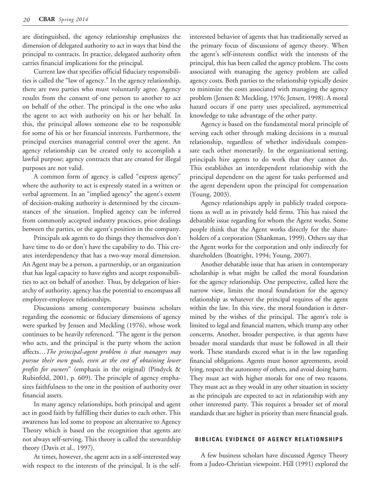are distinguished, the agency relationship emphasizes the dimension of delegated authority to act in ways that bind the principal to contracts. In practice, delegated authority often carries financial implications for the principal.

Current law that specifies official fiduciary responsibilities is called the "law of agency." In the agency relationship, there are two parties who must voluntarily agree. Agency results from the consent of one person to another to act on behalf of the other. The principal is the one who asks the agent to act with authority on his or her behalf. In this, the principal allows someone else to be responsible for some of his or her financial interests. Furthermore, the principal exercises managerial control over the agent. An agency relationship can be created only to accomplish a lawful purpose; agency contracts that are created for illegal purposes are not valid.

A common form of agency is called "express agency" where the authority to act is expressly stated in a written or verbal agreement. In an "implied agency" the agent's extent of decision-making authority is determined by the circumstances of the situation. Implied agency can be inferred from commonly accepted industry practices, prior dealings between the parties, or the agent's position in the company.

Principals ask agents to do things they themselves don't have time to do or don't have the capability to do. This creates interdependency that has a two-way moral dimension. An Agent may be a person, a partnership, or an organization that has legal capacity to have rights and accept responsibilities to act on behalf of another. Thus, by delegation of hierarchy of authority, agency has the potential to encompass all employer-employee relationships.

Discussions among contemporary business scholars regarding the economic or fiduciary dimensions of agency were sparked by Jensen and Meckling (1976), whose work continues to be heavily referenced. "The agent is the person who acts, and the principal is the party whom the action affects…*The principal-agent problem is that managers may pursue their own goals, even at the cost of obtaining lower profits for owners*" (emphasis in the original) (Pindyck & Rubinfeld, 2001, p. 609). The principle of agency emphasizes faithfulness to the one in the position of authority over financial assets.

In many agency relationships, both principal and agent act in good faith by fulfilling their duties to each other. This awareness has led some to propose an alternative to Agency Theory which is based on the recognition that agents are not always self-serving. This theory is called the stewardship theory (Davis et al., 1997).

At times, however, the agent acts in a self-interested way with respect to the interests of the principal. It is the selfinterested behavior of agents that has traditionally served as the primary focus of discussions of agency theory. When the agent's self-interests conflict with the interests of the principal, this has been called the agency problem. The costs associated with managing the agency problem are called agency costs. Both parties to the relationship typically desire to minimize the costs associated with managing the agency problem (Jensen & Meckling, 1976; Jensen, 1998). A moral hazard occurs if one party uses specialized, asymmetrical knowledge to take advantage of the other party.

Agency is based on the fundamental moral principle of serving each other through making decisions in a mutual relationship, regardless of whether individuals compensate each other monetarily. In the organizational setting, principals hire agents to do work that they cannot do. This establishes an interdependent relationship with the principal dependent on the agent for tasks performed and the agent dependent upon the principal for compensation (Young, 2003).

Agency relationships apply in publicly traded corporations as well as in privately held firms. This has raised the debatable issue regarding for whom the Agent works. Some people think that the Agent works directly for the shareholders of a corporation (Shankman, 1999). Others say that the Agent works for the corporation and only indirectly for shareholders (Boatright, 1994; Young, 2007).

Another debatable issue that has arisen in contemporary scholarship is what might be called the moral foundation for the agency relationship. One perspective, called here the narrow view, limits the moral foundation for the agency relationship as whatever the principal requires of the agent within the law. In this view, the moral foundation is determined by the wishes of the principal. The agent's role is limited to legal and financial matters, which trump any other concerns. Another, broader perspective, is that agents have broader moral standards that must be followed in all their work. These standards exceed what is in the law regarding financial obligations. Agents must honor agreements, avoid lying, respect the autonomy of others, and avoid doing harm. They must act with higher morals for one of two reasons. They must act as they would in any other situation in society as the principals are expected to act in relationship with any other interested party. This requires a broader set of moral standards that are higher in priority than mere financial goals.

### **BIBLICAL EVIDENCE OF AGENCY RELATIONSHIPS**

A few business scholars have discussed Agency Theory from a Judeo-Christian viewpoint. Hill (1991) explored the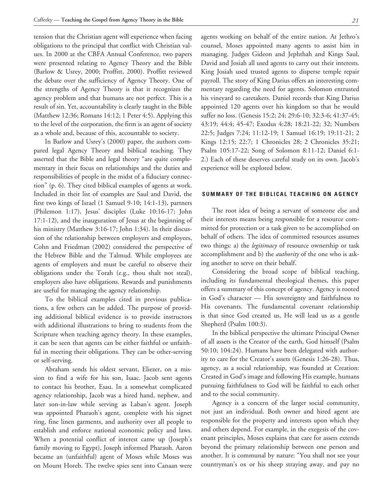tension that the Christian agent will experience when facing obligations to the principal that conflict with Christian values. In 2000 at the CBFA Annual Conference, two papers were presented relating to Agency Theory and the Bible (Barlow & Usrey, 2000; Proffitt, 2000). Proffitt reviewed the debate over the sufficiency of Agency Theory. One of the strengths of Agency Theory is that it recognizes the agency problem and that humans are not perfect. This is a result of sin. Yet, accountability is clearly taught in the Bible (Matthew 12:36; Romans 14:12; 1 Peter 4:5). Applying this to the level of the corporation, the firm is an agent of society as a whole and, because of this, accountable to society.

In Barlow and Usrey's (2000) paper, the authors compared legal Agency Theory and biblical teaching. They asserted that the Bible and legal theory "are quite complementary in their focus on relationships and the duties and responsibilities of people in the midst of a fiduciary connection" (p. 6). They cited biblical examples of agents at work. Included in their list of examples are Saul and David, the first two kings of Israel (1 Samuel 9-10; 14:1-13), partners (Philemon 1:17), Jesus' disciples (Luke 10:16-17; John 17:1-12), and the inauguration of Jesus at the beginning of his ministry (Matthew 3:16-17; John 1:34). In their discussion of the relationship between employers and employees, Cohn and Friedman (2002) considered the perspective of the Hebrew Bible and the Talmud. While employees are agents of employers and must be careful to observe their obligations under the Torah (e.g., thou shalt not steal), employers also have obligations. Rewards and punishments are useful for managing the agency relationship.

To the biblical examples cited in previous publications, a few others can be added. The purpose of providing additional biblical evidence is to provide instructors with additional illustrations to bring to students from the Scripture when teaching agency theory. In these examples, it can be seen that agents can be either faithful or unfaithful in meeting their obligations. They can be other-serving or self-serving.

Abraham sends his oldest servant, Eliezer, on a mission to find a wife for his son, Isaac. Jacob sent agents to contact his brother, Esau. In a somewhat complicated agency relationship, Jacob was a hired hand, nephew, and later son-in-law while serving as Laban's agent. Joseph was appointed Pharaoh's agent, complete with his signet ring, fine linen garments, and authority over all people to establish and enforce national economic policy and laws. When a potential conflict of interest came up (Joseph's family moving to Egypt), Joseph informed Pharaoh. Aaron became an (unfaithful) agent of Moses while Moses was on Mount Horeb. The twelve spies sent into Canaan were agents working on behalf of the entire nation. At Jethro's counsel, Moses appointed many agents to assist him in managing. Judges Gideon and Jephthah and Kings Saul, David and Josiah all used agents to carry out their interests. King Josiah used trusted agents to disperse temple repair payroll. The story of King Darius offers an interesting commentary regarding the need for agents. Solomon entrusted his vineyard to caretakers. Daniel records that King Darius appointed 120 agents over his kingdom so that he would suffer no loss. (Genesis 15:2; 24; 29:6-10; 32:3-6; 41:37-45; 43:19; 44:4; 45-47; Exodus 4:28; 18:21-22; 32; Numbers 22:5; Judges 7:24; 11:12-19; 1 Samuel 16:19; 19:11-21; 2 Kings 12:15; 22:7; 1 Chronicles 28; 2 Chronicles 35:21; Psalm 105:17-22; Song of Solomon 8:11-12; Daniel 6:1- 2.) Each of these deserves careful study on its own. Jacob's experience will be explored below.

# **SUMMARY OF THE BIBLICAL TEACHING ON AGENCY**

The root idea of being a servant of someone else and their interests means being responsible for a resource committed for protection or a task given to be accomplished on behalf of others. The idea of committed resources assumes two things: a) the *legitimacy* of resource ownership or task accomplishment and b) the *authority* of the one who is asking another to serve on their behalf.

Considering the broad scope of biblical teaching, including its fundamental theological themes, this paper offers a summary of this concept of agency. Agency is rooted in God's character — His sovereignty and faithfulness to His covenants. The fundamental covenant relationship is that since God created us, He will lead us as a gentle Shepherd (Psalm 100:3).

In the biblical perspective the ultimate Principal Owner of all assets is the Creator of the earth, God himself (Psalm 50:10; 104:24). Humans have been delegated with authority to care for the Creator's assets (Genesis 1:26-28). Thus, agency, as a social relationship, was founded at Creation: Created in God's image and following His example, humans pursuing faithfulness to God will be faithful to each other and to the social community.

Agency is a concern of the larger social community, not just an individual. Both owner and hired agent are responsible for the property and interests upon which they and others depend. For example, in the exegesis of the covenant principles, Moses explains that care for assets extends beyond the primary relationship between one person and another. It is communal by nature: "You shall not see your countryman's ox or his sheep straying away, and pay no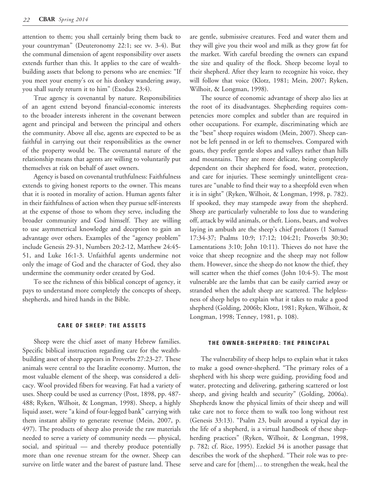attention to them; you shall certainly bring them back to your countryman" (Deuteronomy 22:1; see vv. 3-4). But the communal dimension of agent responsibility over assets extends further than this. It applies to the care of wealthbuilding assets that belong to persons who are enemies: "If you meet your enemy's ox or his donkey wandering away, you shall surely return it to him" (Exodus 23:4).

True agency is covenantal by nature. Responsibilities of an agent extend beyond financial-economic interests to the broader interests inherent in the covenant between agent and principal and between the principal and others the community. Above all else, agents are expected to be as faithful in carrying out their responsibilities as the owner of the property would be. The covenantal nature of the relationship means that agents are willing to voluntarily put themselves at risk on behalf of asset owners.

Agency is based on covenantal truthfulness: Faithfulness extends to giving honest reports to the owner. This means that it is rooted in morality of action. Human agents falter in their faithfulness of action when they pursue self-interests at the expense of those to whom they serve, including the broader community and God himself. They are willing to use asymmetrical knowledge and deception to gain an advantage over others. Examples of the "agency problem" include Genesis 29-31, Numbers 20:2-12, Matthew 24:45- 51, and Luke 16:1-3. Unfaithful agents undermine not only the image of God and the character of God, they also undermine the community order created by God.

To see the richness of this biblical concept of agency, it pays to understand more completely the concepts of sheep, shepherds, and hired hands in the Bible.

#### **CARE OF SHEEP: THE ASSETS**

Sheep were the chief asset of many Hebrew families. Specific biblical instruction regarding care for the wealthbuilding asset of sheep appears in Proverbs 27:23-27. These animals were central to the Israelite economy. Mutton, the most valuable element of the sheep, was considered a delicacy. Wool provided fibers for weaving. Fat had a variety of uses. Sheep could be used as currency (Post, 1898, pp. 487- 488; Ryken, Wilhoit, & Longman, 1998). Sheep, a highly liquid asset, were "a kind of four-legged bank" carrying with them instant ability to generate revenue (Mein, 2007, p. 497). The products of sheep also provide the raw materials needed to serve a variety of community needs — physical, social, and spiritual — and thereby produce potentially more than one revenue stream for the owner. Sheep can survive on little water and the barest of pasture land. These

are gentle, submissive creatures. Feed and water them and they will give you their wool and milk as they grow fat for the market. With careful breeding the owners can expand the size and quality of the flock. Sheep become loyal to their shepherd. After they learn to recognize his voice, they will follow that voice (Klotz, 1981; Mein, 2007; Ryken, Wilhoit, & Longman, 1998).

The source of economic advantage of sheep also lies at the root of its disadvantages. Shepherding requires competencies more complex and subtler than are required in other occupations. For example, discriminating which are the "best" sheep requires wisdom (Mein, 2007). Sheep cannot be left penned in or left to themselves. Compared with goats, they prefer gentle slopes and valleys rather than hills and mountains. They are more delicate, being completely dependent on their shepherd for food, water, protection, and care for injuries. These seemingly unintelligent creatures are "unable to find their way to a sheepfold even when it is in sight" (Ryken, Wilhoit, & Longman, 1998, p. 782). If spooked, they may stampede away from the shepherd. Sheep are particularly vulnerable to loss due to wandering off, attack by wild animals, or theft. Lions, bears, and wolves laying in ambush are the sheep's chief predators (1 Samuel 17:34-37; Psalms 10:9; 17:12; 104:21; Proverbs 30:30; Lamentations 3:10; John 10:11). Thieves do not have the voice that sheep recognize and the sheep may not follow them. However, since the sheep do not know the thief, they will scatter when the thief comes (John 10:4-5). The most vulnerable are the lambs that can be easily carried away or stranded when the adult sheep are scattered. The helplessness of sheep helps to explain what it takes to make a good shepherd (Golding, 2006b; Klotz, 1981; Ryken, Wilhoit, & Longman, 1998; Tenney, 1981, p. 108).

#### **THE OWNER-SHEPHERD: THE PRINCIPAL**

The vulnerability of sheep helps to explain what it takes to make a good owner-shepherd. "The primary roles of a shepherd with his sheep were guiding, providing food and water, protecting and delivering, gathering scattered or lost sheep, and giving health and security" (Golding, 2006a). Shepherds know the physical limits of their sheep and will take care not to force them to walk too long without rest (Genesis 33:13). "Psalm 23, built around a typical day in the life of a shepherd, is a virtual handbook of these shepherding practices" (Ryken, Wilhoit, & Longman, 1998, p. 782; cf. Rice, 1995). Ezekiel 34 is another passage that describes the work of the shepherd. "Their role was to preserve and care for [them]… to strengthen the weak, heal the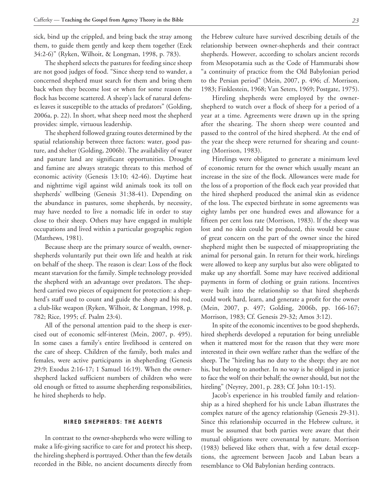sick, bind up the crippled, and bring back the stray among them, to guide them gently and keep them together (Ezek 34:2-6)" (Ryken, Wilhoit, & Longman, 1998, p. 783).

The shepherd selects the pastures for feeding since sheep are not good judges of food. "Since sheep tend to wander, a concerned shepherd must search for them and bring them back when they become lost or when for some reason the flock has become scattered. A sheep's lack of natural defenses leaves it susceptible to the attacks of predators" (Golding, 2006a, p. 22). In short, what sheep need most the shepherd provides: simple, virtuous leadership.

The shepherd followed grazing routes determined by the spatial relationship between three factors: water, good pasture, and shelter (Golding, 2006b). The availability of water and pasture land are significant opportunities. Drought and famine are always strategic threats to this method of economic activity (Genesis 13:10; 42-46). Daytime heat and nighttime vigil against wild animals took its toll on shepherds' wellbeing (Genesis 31:38-41). Depending on the abundance in pastures, some shepherds, by necessity, may have needed to live a nomadic life in order to stay close to their sheep. Others may have engaged in multiple occupations and lived within a particular geographic region (Matthews, 1981).

Because sheep are the primary source of wealth, ownershepherds voluntarily put their own life and health at risk on behalf of the sheep. The reason is clear: Loss of the flock meant starvation for the family. Simple technology provided the shepherd with an advantage over predators. The shepherd carried two pieces of equipment for protection: a shepherd's staff used to count and guide the sheep and his rod, a club-like weapon (Ryken, Wilhoit, & Longman, 1998, p. 782; Rice, 1995; cf. Psalm 23:4).

All of the personal attention paid to the sheep is exercised out of economic self-interest (Mein, 2007, p. 495). In some cases a family's entire livelihood is centered on the care of sheep. Children of the family, both males and females, were active participants in shepherding (Genesis 29:9; Exodus 2:16-17; 1 Samuel 16:19). When the ownershepherd lacked sufficient numbers of children who were old enough or fitted to assume shepherding responsibilities, he hired shepherds to help.

### **HIRED SHEPHERDS: THE AGENTS**

In contrast to the owner-shepherds who were willing to make a life-giving sacrifice to care for and protect his sheep, the hireling shepherd is portrayed. Other than the few details recorded in the Bible, no ancient documents directly from the Hebrew culture have survived describing details of the relationship between owner-shepherds and their contract shepherds. However, according to scholars ancient records from Mesopotamia such as the Code of Hammurabi show "a continuity of practice from the Old Babylonian period to the Persian period" (Mein, 2007, p. 496; cf. Morrison, 1983; Finklestein, 1968; Van Seters, 1969; Postgate, 1975).

Hireling shepherds were employed by the ownershepherd to watch over a flock of sheep for a period of a year at a time. Agreements were drawn up in the spring after the shearing. The shorn sheep were counted and passed to the control of the hired shepherd. At the end of the year the sheep were returned for shearing and counting (Morrison, 1983).

Hirelings were obligated to generate a minimum level of economic return for the owner which usually meant an increase in the size of the flock. Allowances were made for the loss of a proportion of the flock each year provided that the hired shepherd produced the animal skin as evidence of the loss. The expected birthrate in some agreements was eighty lambs per one hundred ewes and allowance for a fifteen per cent loss rate (Morrison, 1983). If the sheep was lost and no skin could be produced, this would be cause of great concern on the part of the owner since the hired shepherd might then be suspected of misappropriating the animal for personal gain. In return for their work, hirelings were allowed to keep any surplus but also were obligated to make up any shortfall. Some may have received additional payments in form of clothing or grain rations. Incentives were built into the relationship so that hired shepherds could work hard, learn, and generate a profit for the owner (Mein, 2007, p. 497; Golding, 2006b, pp. 166-167; Morrison, 1983; Cf. Genesis 29-32; Amos 3:12).

In spite of the economic incentives to be good shepherds, hired shepherds developed a reputation for being unreliable when it mattered most for the reason that they were more interested in their own welfare rather than the welfare of the sheep. The "hireling has no duty to the sheep; they are not his, but belong to another. In no way is he obliged in justice to face the wolf on their behalf; the owner should, but not the hireling" (Neyrey, 2001, p. 283; Cf. John 10:1-15).

Jacob's experience in his troubled family and relationship as a hired shepherd for his uncle Laban illustrates the complex nature of the agency relationship (Genesis 29-31). Since this relationship occurred in the Hebrew culture, it must be assumed that both parties were aware that their mutual obligations were covenantal by nature. Morrison (1983) believed like others that, with a few detail exceptions, the agreement between Jacob and Laban bears a resemblance to Old Babylonian herding contracts.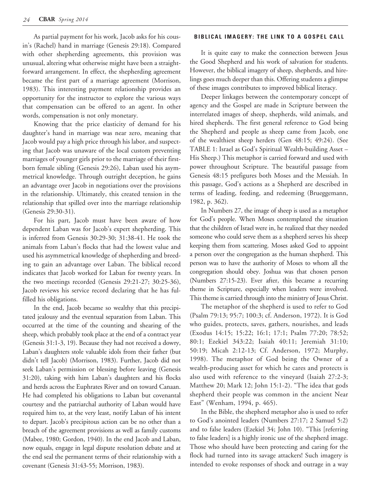As partial payment for his work, Jacob asks for his cousin's (Rachel) hand in marriage (Genesis 29:18). Compared with other shepherding agreements, this provision was unusual, altering what otherwise might have been a straightforward arrangement. In effect, the shepherding agreement became the first part of a marriage agreement (Morrison, 1983). This interesting payment relationship provides an opportunity for the instructor to explore the various ways that compensation can be offered to an agent. In other words, compensation is not only monetary.

Knowing that the price elasticity of demand for his daughter's hand in marriage was near zero, meaning that Jacob would pay a high price through his labor, and suspecting that Jacob was unaware of the local custom preventing marriages of younger girls prior to the marriage of their firstborn female sibling (Genesis 29:26), Laban used his asymmetrical knowledge. Through outright deception, he gains an advantage over Jacob in negotiations over the provisions in the relationship. Ultimately, this created tension in the relationship that spilled over into the marriage relationship (Genesis 29:30-31).

For his part, Jacob must have been aware of how dependent Laban was for Jacob's expert shepherding. This is inferred from Genesis 30:29-30; 31:38-41. He took the animals from Laban's flocks that had the lowest value and used his asymmetrical knowledge of shepherding and breeding to gain an advantage over Laban. The biblical record indicates that Jacob worked for Laban for twenty years. In the two meetings recorded (Genesis 29:21-27; 30:25-36), Jacob reviews his service record declaring that he has fulfilled his obligations.

In the end, Jacob became so wealthy that this precipitated jealousy and the eventual separation from Laban. This occurred at the time of the counting and shearing of the sheep, which probably took place at the end of a contract year (Genesis 31:1-3, 19). Because they had not received a dowry, Laban's daughters stole valuable idols from their father (but didn't tell Jacob) (Morrison, 1983). Further, Jacob did not seek Laban's permission or blessing before leaving (Genesis 31:20), taking with him Laban's daughters and his flocks and herds across the Euphrates River and on toward Canaan. He had completed his obligations to Laban but covenantal courtesy and the patriarchal authority of Laban would have required him to, at the very least, notify Laban of his intent to depart. Jacob's precipitous action can be no other than a breach of the agreement provisions as well as family customs (Mabee, 1980; Gordon, 1940). In the end Jacob and Laban, now equals, engage in legal dispute resolution debate and at the end seal the permanent terms of their relationship with a covenant (Genesis 31:43-55; Morrison, 1983).

# **BIBLICAL IMAGERY: THE LINK TO A GOSPEL CALL**

It is quite easy to make the connection between Jesus the Good Shepherd and his work of salvation for students. However, the biblical imagery of sheep, shepherds, and hirelings goes much deeper than this. Offering students a glimpse of these images contributes to improved biblical literacy.

Deeper linkages between the contemporary concept of agency and the Gospel are made in Scripture between the interrelated images of sheep, shepherds, wild animals, and hired shepherds. The first general reference to God being the Shepherd and people as sheep came from Jacob, one of the wealthiest sheep herders (Gen 48:15; 49:24). (See TABLE 1: Israel as God's Spiritual Wealth-building Asset – His Sheep.) This metaphor is carried forward and used with power throughout Scripture. The beautiful passage from Genesis 48:15 prefigures both Moses and the Messiah. In this passage, God's actions as a Shepherd are described in terms of leading, feeding, and redeeming (Brueggemann, 1982, p. 362).

In Numbers 27, the image of sheep is used as a metaphor for God's people. When Moses contemplated the situation that the children of Israel were in, he realized that they needed someone who could serve them as a shepherd serves his sheep keeping them from scattering. Moses asked God to appoint a person over the congregation as the human shepherd. This person was to have the authority of Moses to whom all the congregation should obey. Joshua was that chosen person (Numbers 27:15-23). Ever after, this became a recurring theme in Scripture, especially when leaders were involved. This theme is carried through into the ministry of Jesus Christ.

The metaphor of the shepherd is used to refer to God (Psalm 79:13; 95:7; 100:3; cf. Anderson, 1972). It is God who guides, protects, saves, gathers, nourishes, and leads (Exodus 14:15; 15:22; 16:1; 17:1; Psalm 77:20; 78:52; 80:1; Ezekiel 343:22; Isaiah 40:11; Jeremiah 31:10; 50:19; Micah 2:12-13; Cf. Anderson, 1972; Murphy, 1998). The metaphor of God being the Owner of a wealth-producing asset for which he cares and protects is also used with reference to the vineyard (Isaiah 27:2-3; Matthew 20; Mark 12; John 15:1-2). "The idea that gods shepherd their people was common in the ancient Near East" (Wenham, 1994, p. 465).

In the Bible, the shepherd metaphor also is used to refer to God's anointed leaders (Numbers 27:17; 2 Samuel 5:2) and to false leaders (Ezekiel 34; John 10). "This [referring to false leaders] is a highly ironic use of the shepherd image. Those who should have been protecting and caring for the flock had turned into its savage attackers! Such imagery is intended to evoke responses of shock and outrage in a way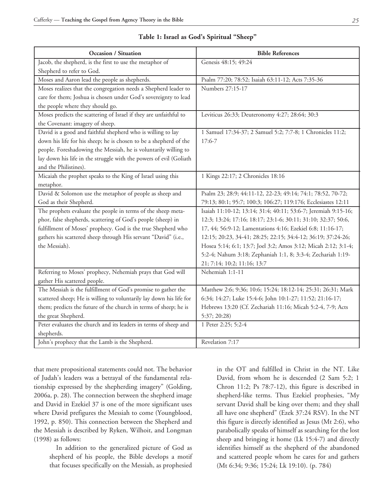| <b>Occasion / Situation</b>                                         | <b>Bible References</b>                                        |
|---------------------------------------------------------------------|----------------------------------------------------------------|
| Jacob, the shepherd, is the first to use the metaphor of            | Genesis 48:15; 49:24                                           |
| Shepherd to refer to God.                                           |                                                                |
| Moses and Aaron lead the people as shepherds.                       | Psalm 77:20; 78:52; Isaiah 63:11-12; Acts 7:35-36              |
| Moses realizes that the congregation needs a Shepherd leader to     | Numbers 27:15-17                                               |
| care for them; Joshua is chosen under God's sovereignty to lead     |                                                                |
| the people where they should go.                                    |                                                                |
| Moses predicts the scattering of Israel if they are unfaithful to   | Leviticus 26:33; Deuteronomy 4:27; 28:64; 30:3                 |
| the Covenant: imagery of sheep.                                     |                                                                |
| David is a good and faithful shepherd who is willing to lay         | 1 Samuel 17:34-37; 2 Samuel 5:2; 7:7-8; 1 Chronicles 11:2;     |
| down his life for his sheep; he is chosen to be a shepherd of the   | $17:6-7$                                                       |
| people. Foreshadowing the Messiah, he is voluntarily willing to     |                                                                |
| lay down his life in the struggle with the powers of evil (Goliath  |                                                                |
| and the Philistines).                                               |                                                                |
| Micaiah the prophet speaks to the King of Israel using this         | 1 Kings 22:17; 2 Chronicles 18:16                              |
| metaphor.                                                           |                                                                |
| David & Solomon use the metaphor of people as sheep and             | Psalm 23; 28:9; 44:11-12, 22-23; 49:14; 74:1; 78:52, 70-72;    |
| God as their Shepherd.                                              | 79:13; 80:1; 95:7; 100:3; 106:27; 119:176; Ecclesiastes 12:11  |
| The prophets evaluate the people in terms of the sheep meta-        | Isaiah 11:10-12; 13:14; 31:4; 40:11; 53:6-7; Jeremiah 9:15-16; |
| phor, false shepherds, scattering of God's people (sheep) in        | 12:3; 13:24; 17:16; 18:17; 23:1-6; 30:11; 31:10; 32:37; 50:6,  |
| fulfillment of Moses' prophecy. God is the true Shepherd who        | 17, 44; 56:9-12; Lamentations 4:16; Ezekiel 6:8; 11:16-17;     |
| gathers his scattered sheep through His servant "David" (i.e.,      | 12:15; 20:23, 34-41; 28:25; 22:15; 34:4-12; 36:19; 37:24-26;   |
| the Messiah).                                                       | Hosea 5:14; 6:1; 13:7; Joel 3:2; Amos 3:12; Micah 2:12; 3:1-4; |
|                                                                     | 5:2-4; Nahum 3:18; Zephaniah 1:1, 8; 3:3-4; Zechariah 1:19-    |
|                                                                     | 21; 7:14; 10:2; 11:16; 13:7                                    |
| Referring to Moses' prophecy, Nehemiah prays that God will          | Nehemiah 1:1-11                                                |
| gather His scattered people.                                        |                                                                |
| The Messiah is the fulfillment of God's promise to gather the       | Matthew 2:6; 9:36; 10:6; 15:24; 18:12-14; 25:31; 26:31; Mark   |
| scattered sheep; He is willing to voluntarily lay down his life for | 6:34; 14:27; Luke 15:4-6; John 10:1-27; 11:52; 21:16-17;       |
| them; predicts the future of the church in terms of sheep; he is    | Hebrews 13:20 (Cf. Zechariah 11:16; Micah 5:2-4, 7-9; Acts     |
| the great Shepherd.                                                 | 5:37; 20:28)                                                   |
| Peter evaluates the church and its leaders in terms of sheep and    | 1 Peter 2:25; 5:2-4                                            |
| shepherds.                                                          |                                                                |
| John's prophecy that the Lamb is the Shepherd.                      | Revelation 7:17                                                |

**Table 1: Israel as God's Spiritual "Sheep"**

that mere propositional statements could not. The behavior of Judah's leaders was a betrayal of the fundamental relationship expressed by the shepherding imagery" (Golding, 2006a, p. 28). The connection between the shepherd image and David in Ezekiel 37 is one of the more significant uses where David prefigures the Messiah to come (Youngblood, 1992, p. 850). This connection between the Shepherd and the Messiah is described by Ryken, Wilhoit, and Longman (1998) as follows:

In addition to the generalized picture of God as shepherd of his people, the Bible develops a motif that focuses specifically on the Messiah, as prophesied

in the OT and fulfilled in Christ in the NT. Like David, from whom he is descended (2 Sam 5:2; 1 Chron 11:2; Ps 78:7-12), this figure is described in shepherd-like terms. Thus Ezekiel prophesies, "My servant David shall be king over them; and they shall all have one shepherd" (Ezek 37:24 RSV). In the NT this figure is directly identified as Jesus (Mt 2:6), who parabolically speaks of himself as searching for the lost sheep and bringing it home (Lk 15:4-7) and directly identifies himself as the shepherd of the abandoned and scattered people whom he cares for and gathers (Mt 6:34; 9:36; 15:24; Lk 19:10). (p. 784)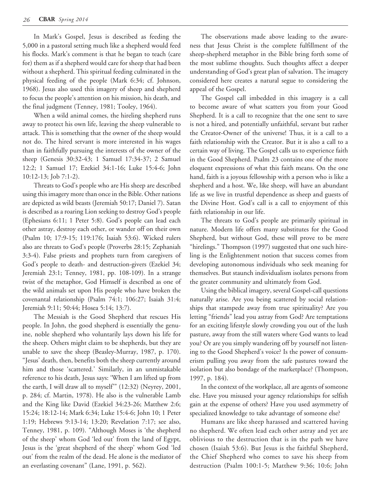In Mark's Gospel, Jesus is described as feeding the 5,000 in a pastoral setting much like a shepherd would feed his flocks. Mark's comment is that he began to teach (care for) them as if a shepherd would care for sheep that had been without a shepherd. This spiritual feeding culminated in the physical feeding of the people (Mark 6:34; cf. Johnson, 1968). Jesus also used this imagery of sheep and shepherd to focus the people's attention on his mission, his death, and the final judgment (Tenney, 1981; Tooley, 1964).

When a wild animal comes, the hireling shepherd runs away to protect his own life, leaving the sheep vulnerable to attack. This is something that the owner of the sheep would not do. The hired servant is more interested in his wages than in faithfully pursuing the interests of the owner of the sheep (Genesis 30:32-43; 1 Samuel 17:34-37; 2 Samuel 12:2; 1 Samuel 17; Ezekiel 34:1-16; Luke 15:4-6; John 10:12-13; Job 7:1-2).

Threats to God's people who are His sheep are described using this imagery more than once in the Bible. Other nations are depicted as wild beasts (Jeremiah 50:17; Daniel 7). Satan is described as a roaring Lion seeking to destroy God's people (Ephesians 6:11; 1 Peter 5:8). God's people can lead each other astray, destroy each other, or wander off on their own (Psalm 10; 17:9-15; 119:176; Isaiah 53:6). Wicked rulers also are threats to God's people (Proverbs 28:15; Zephaniah 3:3-4). False priests and prophets turn from caregivers of God's people to death- and destruction-givers (Ezekiel 34; Jeremiah 23:1; Tenney, 1981, pp. 108-109). In a strange twist of the metaphor, God Himself is described as one of the wild animals set upon His people who have broken the covenantal relationship (Psalm 74:1; 106:27; Isaiah 31:4; Jeremiah 9:11; 50:44; Hosea 5:14; 13:7).

The Messiah is the Good Shepherd that rescues His people. In John, the good shepherd is essentially the genuine, noble shepherd who voluntarily lays down his life for the sheep. Others might claim to be shepherds, but they are unable to save the sheep (Beasley-Murray, 1987, p. 170). "Jesus' death, then, benefits both the sheep currently around him and those 'scattered.' Similarly, in an unmistakable reference to his death, Jesus says: 'When I am lifted up from the earth, I will draw all to myself'" (12:32) (Neyrey, 2001, p. 284; cf. Martin, 1978). He also is the vulnerable Lamb and the King like David (Ezekiel 34:23-26; Matthew 2:6; 15:24; 18:12-14; Mark 6:34; Luke 15:4-6; John 10; 1 Peter 1:19; Hebrews 9:13-14; 13:20; Revelation 7:17; see also, Tenney, 1981, p. 109). "Although Moses is 'the shepherd of the sheep' whom God 'led out' from the land of Egypt, Jesus is the 'great shepherd of the sheep' whom God 'led out' from the realm of the dead. He alone is the mediator of an everlasting covenant" (Lane, 1991, p. 562).

The observations made above leading to the awareness that Jesus Christ is the complete fulfillment of the sheep-shepherd metaphor in the Bible bring forth some of the most sublime thoughts. Such thoughts affect a deeper understanding of God's great plan of salvation. The imagery considered here creates a natural segue to considering the appeal of the Gospel.

The Gospel call imbedded in this imagery is a call to become aware of what scatters you from your Good Shepherd. It is a call to recognize that the one sent to save is not a hired, and potentially unfaithful, servant but rather the Creator-Owner of the universe! Thus, it is a call to a faith relationship with the Creator. But it is also a call to a certain way of living. The Gospel calls us to experience faith in the Good Shepherd. Psalm 23 contains one of the more eloquent expressions of what this faith means. On the one hand, faith is a joyous fellowship with a person who is like a shepherd and a host. We, like sheep, will have an abundant life as we live in trustful dependence as sheep and guests of the Divine Host. God's call is a call to enjoyment of this faith relationship in our life.

The threats to God's people are primarily spiritual in nature. Modern life offers many substitutes for the Good Shepherd, but without God, these will prove to be mere "hirelings." Thompson (1997) suggested that one such hireling is the Enlightenment notion that success comes from developing autonomous individuals who seek meaning for themselves. But staunch individualism isolates persons from the greater community and ultimately from God.

Using the biblical imagery, several Gospel-call questions naturally arise. Are you being scattered by social relationships that stampede away from true spirituality? Are you letting "friends" lead you astray from God? Are temptations for an exciting lifestyle slowly crowding you out of the lush pasture, away from the still waters where God wants to lead you? Or are you simply wandering off by yourself not listening to the Good Shepherd's voice? Is the power of consumerism pulling you away from the safe pastures toward the isolation but also bondage of the marketplace? (Thompson, 1997, p. 184).

In the context of the workplace, all are agents of someone else. Have you misused your agency relationships for selfish gain at the expense of others? Have you used asymmetry of specialized knowledge to take advantage of someone else?

Humans are like sheep harassed and scattered having no shepherd. We often lead each other astray and yet are oblivious to the destruction that is in the path we have chosen (Isaiah 53:6). But Jesus is the faithful Shepherd, the Chief Shepherd who comes to save his sheep from destruction (Psalm 100:1-5; Matthew 9:36; 10:6; John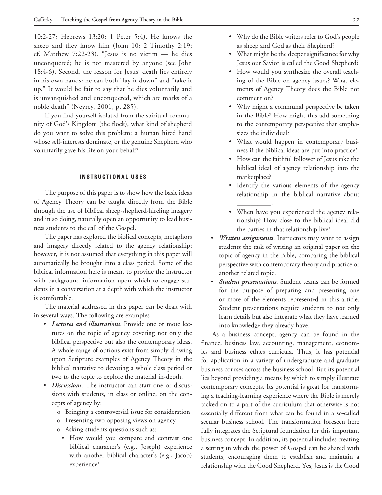10:2-27; Hebrews 13:20; 1 Peter 5:4). He knows the sheep and they know him (John 10; 2 Timothy 2:19; cf. Matthew  $7:22-23$ . "Jesus is no victim  $-$  he dies unconquered; he is not mastered by anyone (see John 18:4-6). Second, the reason for Jesus' death lies entirely in his own hands: he can both "lay it down" and "take it up." It would be fair to say that he dies voluntarily and is unvanquished and unconquered, which are marks of a noble death" (Neyrey, 2001, p. 285).

If you find yourself isolated from the spiritual community of God's Kingdom (the flock), what kind of shepherd do you want to solve this problem: a human hired hand whose self-interests dominate, or the genuine Shepherd who voluntarily gave his life on your behalf?

# **INSTRUCTIONAL USES**

The purpose of this paper is to show how the basic ideas of Agency Theory can be taught directly from the Bible through the use of biblical sheep-shepherd-hireling imagery and in so doing, naturally open an opportunity to lead business students to the call of the Gospel.

The paper has explored the biblical concepts, metaphors and imagery directly related to the agency relationship; however, it is not assumed that everything in this paper will automatically be brought into a class period. Some of the biblical information here is meant to provide the instructor with background information upon which to engage students in a conversation at a depth with which the instructor is comfortable.

The material addressed in this paper can be dealt with in several ways. The following are examples:

- • *Lectures and illustrations*. Provide one or more lectures on the topic of agency covering not only the biblical perspective but also the contemporary ideas. A whole range of options exist from simply drawing upon Scripture examples of Agency Theory in the biblical narrative to devoting a whole class period or two to the topic to explore the material in-depth.
- • *Discussions*. The instructor can start one or discussions with students, in class or online, on the concepts of agency by:
	- o Bringing a controversial issue for consideration
	- o Presenting two opposing views on agency
	- o Asking students questions such as:
	- • How would you compare and contrast one biblical character's (e.g., Joseph) experience with another biblical character's (e.g., Jacob) experience?
- • Why do the Bible writers refer to God's people as sheep and God as their Shepherd?
- • What might be the deeper significance for why Jesus our Savior is called the Good Shepherd?
- • How would you synthesize the overall teaching of the Bible on agency issues? What elements of Agency Theory does the Bible not comment on?
- Why might a communal perspective be taken in the Bible? How might this add something to the contemporary perspective that emphasizes the individual?
- What would happen in contemporary business if the biblical ideas are put into practice?
- • How can the faithful follower of Jesus take the biblical ideal of agency relationship into the marketplace?
- • Identify the various elements of the agency relationship in the biblical narrative about \_\_\_\_\_\_\_\_\_\_.
- • When have you experienced the agency relationship? How close to the biblical ideal did the parties in that relationship live?
- • *Written assignments*. Instructors may want to assign students the task of writing an original paper on the topic of agency in the Bible, comparing the biblical perspective with contemporary theory and practice or another related topic.
- • *Student presentations*. Student teams can be formed for the purpose of preparing and presenting one or more of the elements represented in this article. Student presentations require students to not only learn details but also integrate what they have learned into knowledge they already have.

As a business concept, agency can be found in the finance, business law, accounting, management, economics and business ethics curricula. Thus, it has potential for application in a variety of undergraduate and graduate business courses across the business school. But its potential lies beyond providing a means by which to simply illustrate contemporary concepts. Its potential is great for transforming a teaching-learning experience where the Bible is merely tacked on to a part of the curriculum that otherwise is not essentially different from what can be found in a so-called secular business school. The transformation foreseen here fully integrates the Scriptural foundation for this important business concept. In addition, its potential includes creating a setting in which the power of Gospel can be shared with students, encouraging them to establish and maintain a relationship with the Good Shepherd. Yes, Jesus is the Good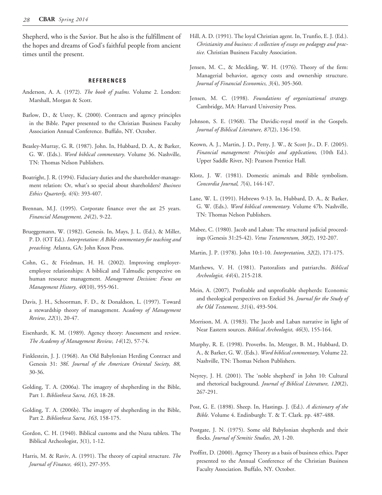Shepherd, who is the Savior. But he also is the fulfillment of the hopes and dreams of God's faithful people from ancient times until the present.

# **REFERENCES**

- Anderson, A. A. (1972). *The book of psalms.* Volume 2. London: Marshall, Morgan & Scott.
- Barlow, D., & Usrey, K. (2000). Contracts and agency principles in the Bible. Paper presented to the Christian Business Faculty Association Annual Conference. Buffalo, NY. October.
- Beasley-Murray, G. R. (1987). John. In, Hubbard, D. A., & Barker, G. W. (Eds.). *Word biblical commentary*. Volume 36. Nashville, TN: Thomas Nelson Publishers.
- Boatright, J. R. (1994). Fiduciary duties and the shareholder-management relation: Or, what's so special about shareholders? *Business Ethics Quarterly, 4(*4): 393-407.
- Brennan, M.J. (1995). Corporate finance over the ast 25 years. *Financial Management, 24*(2), 9-22.
- Brueggemann, W. (1982). Genesis. In, Mays, J. L. (Ed.), & Miller, P. D. (OT Ed.). *Interpretation: A Bible commentary for teaching and preaching.* Atlanta, GA: John Knox Press.
- Cohn, G., & Friedman, H. H. (2002). Improving employeremployee relationships: A biblical and Talmudic perspective on human resource management. *Management Decision: Focus on Management History, 40*(10), 955-961.
- Davis, J. H., Schoorman, F. D., & Donaldson, L. (1997). Toward a stewardship theory of management. A*cademy of Management Review, 22*(1), 20-47.
- Eisenhardt, K. M. (1989). Agency theory: Assessment and review. *The Academy of Management Review, 14*(12), 57-74.
- Finklestein, J. J. (1968). An Old Babylonian Herding Contract and Genesis 31: 38f. *Journal of the American Oriental Society, 88,* 30-36.
- Golding, T. A. (2006a). The imagery of shepherding in the Bible, Part 1. *Bibliotheca Sacra, 163*, 18-28.
- Golding, T. A. (2006b). The imagery of shepherding in the Bible, Part 2. *Bibliotheca Sacra, 163*, 158-175.
- Gordon, C. H. (1940). Biblical customs and the Nuzu tablets. The Biblical Archeologist, 3(1), 1-12.
- Harris, M. & Raviv, A. (1991). The theory of capital structure. *The Journal of Finance, 46*(1), 297-355.
- Hill, A. D. (1991). The loyal Christian agent. In, Trunfio, E. J. (Ed.). *Christianity and business: A collection of essays on pedagogy and practice.* Christian Business Faculty Association.
- Jensen, M. C., & Meckling, W. H. (1976). Theory of the firm: Managerial behavior, agency costs and ownership structure. *Journal of Financial Economics, 3*(4), 305-360.
- Jensen, M. C. (1998). *Foundations of organizational strategy.*  Cambridge, MA: Harvard University Press.
- Johnson, S. E. (1968). The Davidic-royal motif in the Gospels. *Journal of Biblical Literature, 87*(2), 136-150.
- Keown, A. J., Martin, J. D., Petty, J. W., & Scott Jr., D. F. (2005). *Financial management: Principles and applications,* (10th Ed.). Upper Saddle River, NJ: Pearson Prentice Hall.
- Klotz, J. W. (1981). Domestic animals and Bible symbolism. *Concordia Journal, 7*(4), 144-147.
- Lane, W. L. (1991). Hebrews 9-13. In, Hubbard, D. A., & Barker, G. W. (Eds.). *Word biblical commentary.* Volume 47b. Nashville, TN: Thomas Nelson Publishers.
- Mabee, C. (1980). Jacob and Laban: The structural judicial proceedings (Genesis 31:25-42). *Vetus Testamentum, 30*(2), 192-207.
- Martin, J. P. (1978). John 10:1-10. *Interpretation, 32*(2), 171-175.
- Matthews, V. H. (1981). Pastoralists and patriarchs. *Biblical Archeologist, 44*(4), 215-218.
- Mein, A. (2007). Profitable and unprofitable shepherds: Economic and theological perspectives on Ezekiel 34. *Journal for the Study of the Old Testament, 31*(4), 493-504.
- Morrison, M. A. (1983). The Jacob and Laban narrative in light of Near Eastern sources. *Biblical Archeologist, 46*(3), 155-164.
- Murphy, R. E. (1998). Proverbs. In, Metzger, B. M., Hubbard, D. A., & Barker, G. W. (Eds.). *Word biblical commentary,* Volume 22. Nashville, TN: Thomas Nelson Publishers.
- Neyrey, J. H. (2001). The 'noble shepherd' in John 10: Cultural and rhetorical background. *Journal of Biblical Literature, 120*(2), 267-291.
- Post, G. E. (1898). Sheep. In, Hastings. J. (Ed.). *A dictionary of the Bible.* Volume 4. Endinburgh: T. & T. Clark. pp. 487-488.
- Postgate, J. N. (1975). Some old Babylonian shepherds and their flocks. *Journal of Semitic Studies, 20*, 1-20.
- Proffitt, D. (2000). Agency Theory as a basis of business ethics. Paper presented to the Annual Conference of the Christian Business Faculty Association. Buffalo, NY. October.